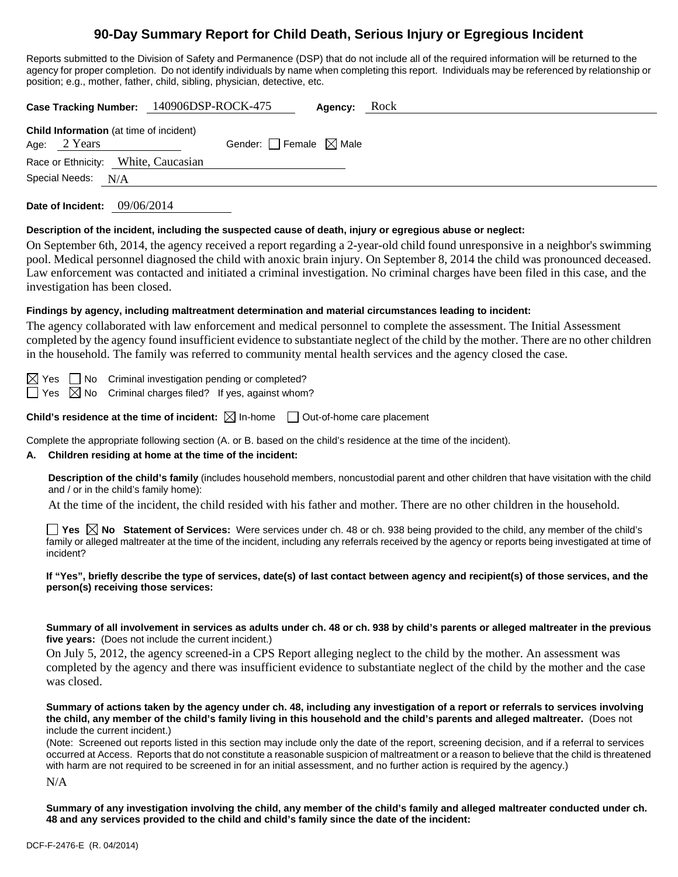# **90-Day Summary Report for Child Death, Serious Injury or Egregious Incident**

Reports submitted to the Division of Safety and Permanence (DSP) that do not include all of the required information will be returned to the agency for proper completion. Do not identify individuals by name when completing this report. Individuals may be referenced by relationship or position; e.g., mother, father, child, sibling, physician, detective, etc.

|                                                                  | Case Tracking Number: 140906DSP-ROCK-475 | Agency: | Rock |
|------------------------------------------------------------------|------------------------------------------|---------|------|
| <b>Child Information</b> (at time of incident)<br>Age: $2$ Years | Gender: Female $\boxtimes$ Male          |         |      |
| Race or Ethnicity: White, Caucasian                              |                                          |         |      |
| Special Needs: N/A                                               |                                          |         |      |
| 09/06/2014<br>Date of Incident:                                  |                                          |         |      |

#### **Description of the incident, including the suspected cause of death, injury or egregious abuse or neglect:**

On September 6th, 2014, the agency received a report regarding a 2-year-old child found unresponsive in a neighbor's swimming pool. Medical personnel diagnosed the child with anoxic brain injury. On September 8, 2014 the child was pronounced deceased. Law enforcement was contacted and initiated a criminal investigation. No criminal charges have been filed in this case, and the investigation has been closed.

### **Findings by agency, including maltreatment determination and material circumstances leading to incident:**

The agency collaborated with law enforcement and medical personnel to complete the assessment. The Initial Assessment completed by the agency found insufficient evidence to substantiate neglect of the child by the mother. There are no other children in the household. The family was referred to community mental health services and the agency closed the case.

 $\boxtimes$  Yes  $\Box$  No Criminal investigation pending or completed?

 $\Box$  Yes  $\boxtimes$  No Criminal charges filed? If yes, against whom?

**Child's residence at the time of incident:**  $\boxtimes$  In-home  $\Box$  Out-of-home care placement

Complete the appropriate following section (A. or B. based on the child's residence at the time of the incident).

#### **A. Children residing at home at the time of the incident:**

**Description of the child's family** (includes household members, noncustodial parent and other children that have visitation with the child and / or in the child's family home):

At the time of the incident, the child resided with his father and mother. There are no other children in the household.

**Yes No Statement of Services:** Were services under ch. 48 or ch. 938 being provided to the child, any member of the child's family or alleged maltreater at the time of the incident, including any referrals received by the agency or reports being investigated at time of incident?

**If "Yes", briefly describe the type of services, date(s) of last contact between agency and recipient(s) of those services, and the person(s) receiving those services:**

**Summary of all involvement in services as adults under ch. 48 or ch. 938 by child's parents or alleged maltreater in the previous five years:** (Does not include the current incident.)

On July 5, 2012, the agency screened-in a CPS Report alleging neglect to the child by the mother. An assessment was completed by the agency and there was insufficient evidence to substantiate neglect of the child by the mother and the case was closed.

**Summary of actions taken by the agency under ch. 48, including any investigation of a report or referrals to services involving the child, any member of the child's family living in this household and the child's parents and alleged maltreater.** (Does not include the current incident.)

(Note: Screened out reports listed in this section may include only the date of the report, screening decision, and if a referral to services occurred at Access. Reports that do not constitute a reasonable suspicion of maltreatment or a reason to believe that the child is threatened with harm are not required to be screened in for an initial assessment, and no further action is required by the agency.)

N/A

**Summary of any investigation involving the child, any member of the child's family and alleged maltreater conducted under ch. 48 and any services provided to the child and child's family since the date of the incident:**